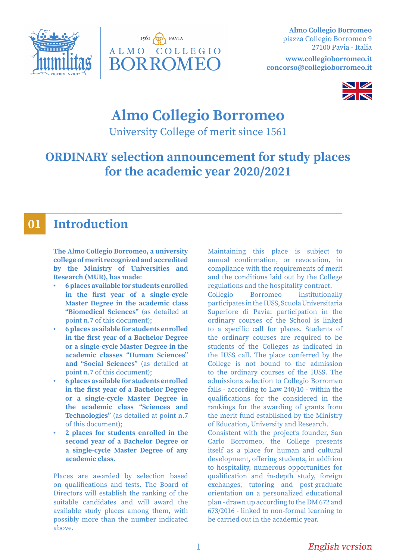



**Almo Collegio Borromeo** piazza Collegio Borromeo 9 27100 Pavia - Italia

**www.collegioborromeo.it concorso@collegioborromeo.it**



# **Almo Collegio Borromeo**

University College of merit since 1561

## **ORDINARY selection announcement for study places for the academic year 2020/2021**

#### **Introduction 01**

**The Almo Collegio Borromeo, a university college of merit recognized and accredited by the Ministry of Universities and Research (MUR), has made**:

- **• 6 places available for students enrolled in the first year of a single-cycle Master Degree in the academic class "Biomedical Sciences"** (as detailed at point n.7 of this document);
- **• 6 places available for students enrolled in the first year of a Bachelor Degree or a single-cycle Master Degree in the academic classes "Human Sciences" and "Social Sciences"** (as detailed at point n.7 of this document);
- **• 6 places available for students enrolled in the first year of a Bachelor Degree or a single-cycle Master Degree in the academic class "Sciences and Technologies"** (as detailed at point n.7 of this document);
- **• 2 places for students enrolled in the second year of a Bachelor Degree or a single-cycle Master Degree of any academic class.**

Places are awarded by selection based on qualifications and tests. The Board of Directors will establish the ranking of the suitable candidates and will award the available study places among them, with possibly more than the number indicated above.

Maintaining this place is subject to annual confirmation, or revocation, in compliance with the requirements of merit and the conditions laid out by the College regulations and the hospitality contract.

Collegio Borromeo institutionally participates in the IUSS, Scuola Universitaria Superiore di Pavia: participation in the ordinary courses of the School is linked to a specific call for places. Students of the ordinary courses are required to be students of the Colleges as indicated in the IUSS call. The place conferred by the College is not bound to the admission to the ordinary courses of the IUSS. The admissions selection to Collegio Borromeo falls - according to Law 240/10 - within the qualifications for the considered in the rankings for the awarding of grants from the merit fund established by the Ministry of Education, University and Research.

Consistent with the project's founder, San Carlo Borromeo, the College presents itself as a place for human and cultural development, offering students, in addition to hospitality, numerous opportunities for qualification and in-depth study, foreign exchanges, tutoring and post-graduate orientation on a personalized educational plan - drawn up according to the DM 672 and 673/2016 - linked to non-formal learning to be carried out in the academic year.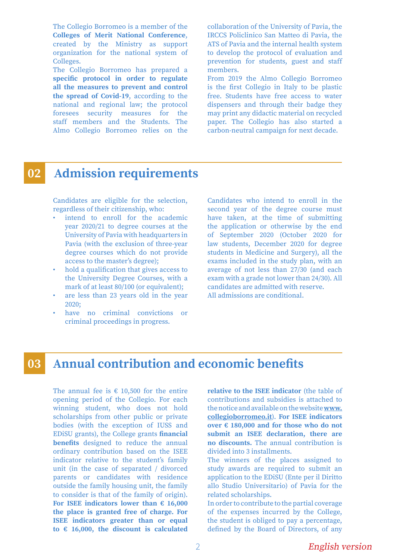The Collegio Borromeo is a member of the **Colleges of Merit National Conference**, created by the Ministry as support organization for the national system of Colleges.

The Collegio Borromeo has prepared a **specific protocol in order to regulate all the measures to prevent and control the spread of Covid-19**, according to the national and regional law; the protocol foresees security measures for the staff members and the Students. The Almo Collegio Borromeo relies on the collaboration of the University of Pavia, the IRCCS Policlinico San Matteo di Pavia, the ATS of Pavia and the internal health system to develop the protocol of evaluation and prevention for students, guest and staff members.

From 2019 the Almo Collegio Borromeo is the first Collegio in Italy to be plastic free. Students have free access to water dispensers and through their badge they may print any didactic material on recycled paper. The Collegio has also started a carbon-neutral campaign for next decade.

#### **Admission requirements 02**

Candidates are eligible for the selection, regardless of their citizenship, who:

- intend to enroll for the academic year 2020/21 to degree courses at the University of Pavia with headquarters in Pavia (with the exclusion of three-year degree courses which do not provide access to the master's degree);
- hold a qualification that gives access to the University Degree Courses, with a mark of at least 80/100 (or equivalent);
- are less than 23 years old in the year 2020;
- have no criminal convictions or criminal proceedings in progress.

Candidates who intend to enroll in the second year of the degree course must have taken, at the time of submitting the application or otherwise by the end of September 2020 (October 2020 for law students, December 2020 for degree students in Medicine and Surgery), all the exams included in the study plan, with an average of not less than 27/30 (and each exam with a grade not lower than 24/30). All candidates are admitted with reserve. All admissions are conditional.

#### **Annual contribution and economic benefits 03**

The annual fee is  $\epsilon$  10,500 for the entire opening period of the Collegio. For each winning student, who does not hold scholarships from other public or private bodies (with the exception of IUSS and EDiSU grants), the College grants **financial benefits** designed to reduce the annual ordinary contribution based on the ISEE indicator relative to the student's family unit (in the case of separated / divorced parents or candidates with residence outside the family housing unit, the family to consider is that of the family of origin). **For ISEE indicators lower than € 16,000 the place is granted free of charge. For ISEE indicators greater than or equal to € 16,000, the discount is calculated** 

**relative to the ISEE indicator** (the table of contributions and subsidies is attached to the notice and available on the website **www. collegioborromeo.it**). **For ISEE indicators over € 180,000 and for those who do not submit an ISEE declaration, there are no discounts.** The annual contribution is divided into 3 installments.

The winners of the places assigned to study awards are required to submit an application to the EDiSU (Ente per il Diritto allo Studio Universitario) of Pavia for the related scholarships.

In order to contribute to the partial coverage of the expenses incurred by the College, the student is obliged to pay a percentage, defined by the Board of Directors, of any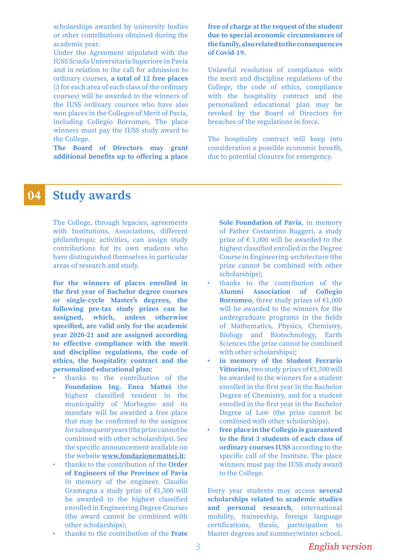scholarships awarded by university bodies or other contributions obtained during the academic year.

Under the Agreement stipulated with the IUSS Scuola Universitaria Superiore in Pavia and in relation to the call for admission to ordinary courses, **a total of 12 free places** (3 for each area of each class of the ordinary courses) will be awarded to the winners of the IUSS ordinary courses who have also won places in the Colleges of Merit of Pavia, including Collegio Borromeo. The place winners must pay the IUSS study award to the College.

**The Board of Directors may grant additional benefits up to offering a place** 

### **free of charge at the request of the student due to special economic circumstances of the family, also related to the consequences of Covid-19.**

Unlawful resolution of compliance with the merit and discipline regulations of the College, the code of ethics, compliance with the hospitality contract and the personalized educational plan may be revoked by the Board of Directors for breaches of the regulations in force.

The hospitality contract will keep into consideration a possible economic benefit, due to potential closures for emergency.

#### **Study awards 04**

The College, through legacies, agreements with Institutions, Associations, different philanthropic activities, can assign study contributions for its own students who have distinguished themselves in particular areas of research and study.

**For the winners of places enrolled in the first year of Bachelor degree courses or single-cycle Master's degrees, the following pre-tax study prizes can be assigned, which, unless otherwise specified, are valid only for the academic year 2020-21 and are assigned according to effective compliance with the merit and discipline regulations, the code of ethics, the hospitality contract and the personalized educational plan:**

- thanks to the contribution of the **Foundation Ing. Enea Mattei** the highest classified resident in the municipality of Morbegno and its mandate will be awarded a free place that may be confirmed to the assignee for subsequent years (the prize cannot be combined with other scholarships). See the specific announcement available on the website **www.fondazionemattei.it**;
- thanks to the contribution of the **Order of Engineers of the Province of Pavia** in memory of the engineer. Claudio Gramegna a study prize of  $£1,500$  will be awarded to the highest classified enrolled in Engineering Degree Courses (the award cannot be combined with other scholarships);
- thanks to the contribution of the **Frate**

**Sole Foundation of Pavia**, in memory of Father Costantino Ruggeri, a study prize of  $\epsilon$  1,000 will be awarded to the highest classified enrolled in the Degree Course in Engineering-architecture (the prize cannot be combined with other scholarships);

- thanks to the contribution of the **Alumni Association of Collegio Borromeo**, three study prizes of  $\epsilon$ 1,000 will be awarded to the winners for the undergraduate programs in the fields of Mathematics, Physics, Chemistry, Biology and Biotechnology, Earth Sciences (the prize cannot be combined with other scholarships);
- **• in memory of the Student Ferrario Vittorino**, two study prizes of €1,500 will be awarded to the winners for a student enrolled in the first year in the Bachelor Degree of Chemistry, and for a student enrolled in the first year in the Bachelor Degree of Law (the prize cannot be combined with other scholarships).
- **• free place in the Collegio is guaranteed to the first 3 students of each class of ordinary courses IUSS** according to the specific call of the Institute. The place winners must pay the IUSS study award to the College.

Every year students may access **several scholarships related to academic studies and personal research**, international mobility, traineeship, foreign language certifications, thesis, participation to Master degrees and summer/winter school.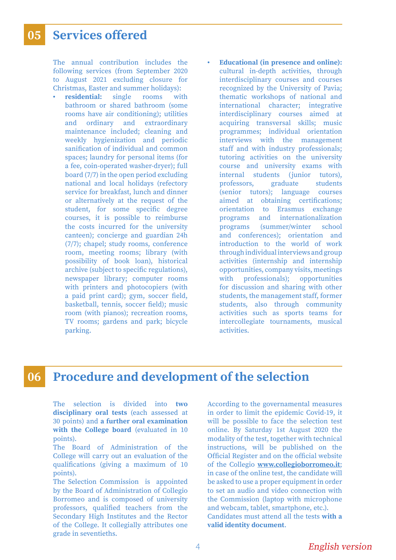#### **Services offered 05**

The annual contribution includes the following services (from September 2020 to August 2021 excluding closure for Christmas, Easter and summer holidays):

- **• residential:** single rooms with bathroom or shared bathroom (some rooms have air conditioning); utilities and ordinary and extraordinary maintenance included; cleaning and weekly hygienization and periodic sanification of individual and common spaces; laundry for personal items (for a fee, coin-operated washer-dryer); full board (7/7) in the open period excluding national and local holidays (refectory service for breakfast, lunch and dinner or alternatively at the request of the student, for some specific degree courses, it is possible to reimburse the costs incurred for the university canteen); concierge and guardian 24h (7/7); chapel; study rooms, conference room, meeting rooms; library (with possibility of book loan), historical archive (subject to specific regulations), newspaper library; computer rooms with printers and photocopiers (with a paid print card); gym, soccer field, basketball, tennis, soccer field); music room (with pianos); recreation rooms, TV rooms; gardens and park; bicycle parking.
- **• Educational (in presence and online):**  cultural in-depth activities, through interdisciplinary courses and courses recognized by the University of Pavia; thematic workshops of national and international character; integrative interdisciplinary courses aimed at acquiring transversal skills; music programmes; individual orientation interviews with the management staff and with industry professionals; tutoring activities on the university course and university exams with internal students (junior tutors), professors, graduate students (senior tutors); language courses aimed at obtaining certifications; orientation to Erasmus exchange programs and internationalization programs (summer/winter school and conferences); orientation and introduction to the world of work through individual interviews and group activities (internship and internship opportunities, company visits, meetings with professionals); opportunities for discussion and sharing with other students, the management staff, former students, also through community activities such as sports teams for intercollegiate tournaments, musical activities.

#### **Procedure and development of the selection 06**

The selection is divided into **two disciplinary oral tests** (each assessed at 30 points) and **a further oral examination with the College board** (evaluated in 10 points).

The Board of Administration of the College will carry out an evaluation of the qualifications (giving a maximum of 10 points).

The Selection Commission is appointed by the Board of Administration of Collegio Borromeo and is composed of university professors, qualified teachers from the Secondary High Institutes and the Rector of the College. It collegially attributes one grade in seventieths.

According to the governamental measures in order to limit the epidemic Covid-19, it will be possible to face the selection test online. By Saturday 1st August 2020 the modality of the test, together with technical instructions, will be published on the Official Register and on the official website of the Collegio **www.collegioborromeo.it**; in case of the online test, the candidate will be asked to use a proper equipment in order to set an audio and video connection with the Commission (laptop with microphone and webcam, tablet, smartphone, etc.). Candidates must attend all the tests **with a valid identity document**.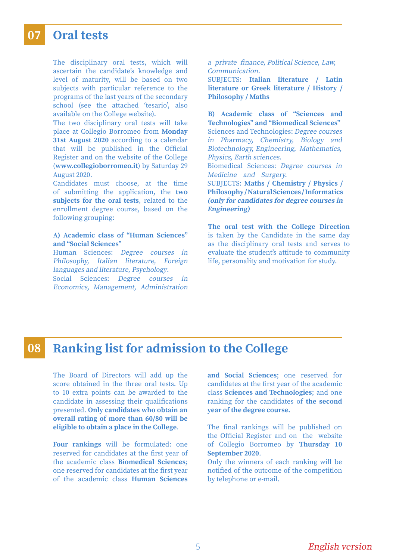#### **Oral tests 07**

The disciplinary oral tests, which will ascertain the candidate's knowledge and level of maturity, will be based on two subjects with particular reference to the programs of the last years of the secondary school (see the attached 'tesario', also available on the College website).

The two disciplinary oral tests will take place at Collegio Borromeo from **Monday 31st August 2020** according to a calendar that will be published in the Official Register and on the website of the College (**www.collegioborromeo.it**) by Saturday 29 August 2020.

Candidates must choose, at the time of submitting the application, the **two subjects for the oral tests**, related to the enrollment degree course, based on the following grouping:

### **A) Academic class of "Human Sciences" and "Social Sciences"**

Human Sciences: Degree courses in Philosophy, Italian literature, Foreign languages and literature, Psychology.

Social Sciences: Degree courses in Economics, Management, Administration a private finance, Political Science, Law, Communication.

SUBJECTS: **Italian literature / Latin literature or Greek literature / History / Philosophy / Maths**

**B) Academic class of "Sciences and Technologies" and "Biomedical Sciences"** Sciences and Technologies: Degree courses in Pharmacy, Chemistry, Biology and Biotechnology, Engineering, Mathematics, Physics, Earth sciences. Biomedical Sciences: Degree courses in Medicine and Surgery.

SUBJECTS: **Maths / Chemistry / Physics / Philosophy / Natural Sciences / Informatics (only for candidates for degree courses in Engineering)**

**The oral test with the College Direction**  is taken by the Candidate in the same day as the disciplinary oral tests and serves to evaluate the student's attitude to community life, personality and motivation for study.

#### **Ranking list for admission to the College 08**

The Board of Directors will add up the score obtained in the three oral tests. Up to 10 extra points can be awarded to the candidate in assessing their qualifications presented. **Only candidates who obtain an overall rating of more than 60/80 will be eligible to obtain a place in the College**.

**Four rankings** will be formulated: one reserved for candidates at the first year of the academic class **Biomedical Sciences**; one reserved for candidates at the first year of the academic class **Human Sciences**

**and Social Sciences**; one reserved for candidates at the first year of the academic class **Sciences and Technologies**; and one ranking for the candidates of **the second year of the degree course.**

The final rankings will be published on the Official Register and on the website of Collegio Borromeo by **Thursday 10 September 2020**.

Only the winners of each ranking will be notified of the outcome of the competition by telephone or e-mail.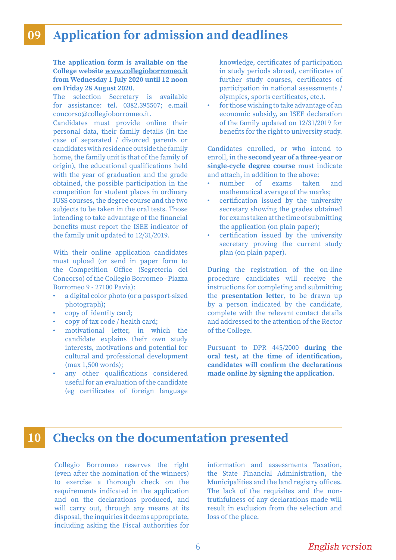#### **Application for admission and deadlines 09**

**The application form is available on the College website www.collegioborromeo.it from Wednesday 1 July 2020 until 12 noon on Friday 28 August 2020**.

The selection Secretary is available for assistance: tel. 0382.395507; e.mail concorso@collegioborromeo.it.

Candidates must provide online their personal data, their family details (in the case of separated / divorced parents or candidates with residence outside the family home, the family unit is that of the family of origin), the educational qualifications held with the year of graduation and the grade obtained, the possible participation in the competition for student places in ordinary IUSS courses, the degree course and the two subjects to be taken in the oral tests. Those intending to take advantage of the financial benefits must report the ISEE indicator of the family unit updated to 12/31/2019.

With their online application candidates must upload (or send in paper form to the Competition Office (Segreteria del Concorso) of the Collegio Borromeo - Piazza Borromeo 9 - 27100 Pavia):

- a digital color photo (or a passport-sized photograph);
- copy of identity card;
- copy of tax code / health card;
- motivational letter, in which the candidate explains their own study interests, motivations and potential for cultural and professional development (max 1,500 words);
- any other qualifications considered useful for an evaluation of the candidate (eg certificates of foreign language

knowledge, certificates of participation in study periods abroad, certificates of further study courses, certificates of participation in national assessments / olympics, sports certificates, etc.).

• for those wishing to take advantage of an economic subsidy, an ISEE declaration of the family updated on 12/31/2019 for benefits for the right to university study.

Candidates enrolled, or who intend to enroll, in the **second year of a three-year or single-cycle degree course** must indicate and attach, in addition to the above:

- number of exams taken and mathematical average of the marks;
- certification issued by the university secretary showing the grades obtained for exams taken at the time of submitting the application (on plain paper);
- certification issued by the university secretary proving the current study plan (on plain paper).

During the registration of the on-line procedure candidates will receive the instructions for completing and submitting the **presentation letter**, to be drawn up by a person indicated by the candidate, complete with the relevant contact details and addressed to the attention of the Rector of the College.

Pursuant to DPR 445/2000 **during the oral test, at the time of identification, candidates will confirm the declarations made online by signing the application**.

### **10 Checks on the documentation presented**

Collegio Borromeo reserves the right (even after the nomination of the winners) to exercise a thorough check on the requirements indicated in the application and on the declarations produced, and will carry out, through any means at its disposal, the inquiries it deems appropriate, including asking the Fiscal authorities for information and assessments Taxation, the State Financial Administration, the Municipalities and the land registry offices. The lack of the requisites and the nontruthfulness of any declarations made will result in exclusion from the selection and loss of the place.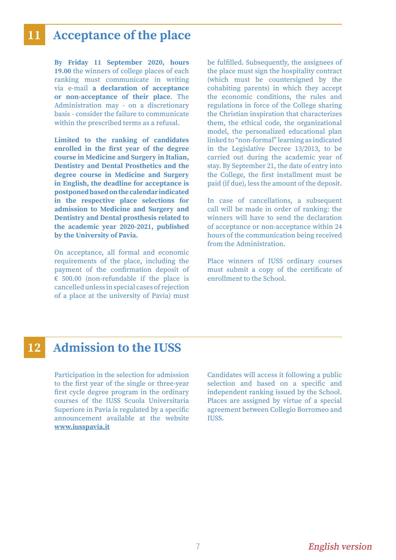## **11 Acceptance of the place**

**By Friday 11 September 2020, hours 19.00** the winners of college places of each ranking must communicate in writing via e-mail **a declaration of acceptance or non-acceptance of their place**. The Administration may - on a discretionary basis - consider the failure to communicate within the prescribed terms as a refusal.

**Limited to the ranking of candidates enrolled in the first year of the degree course in Medicine and Surgery in Italian, Dentistry and Dental Prosthetics and the degree course in Medicine and Surgery in English, the deadline for acceptance is postponed based on the calendar indicated in the respective place selections for admission to Medicine and Surgery and Dentistry and Dental prosthesis related to the academic year 2020-2021, published by the University of Pavia.**

On acceptance, all formal and economic requirements of the place, including the payment of the confirmation deposit of  $\epsilon$  500.00 (non-refundable if the place is cancelled unless in special cases of rejection of a place at the university of Pavia) must be fulfilled. Subsequently, the assignees of the place must sign the hospitality contract (which must be countersigned by the cohabiting parents) in which they accept the economic conditions, the rules and regulations in force of the College sharing the Christian inspiration that characterizes them, the ethical code, the organizational model, the personalized educational plan linked to "non-formal" learning as indicated in the Legislative Decree 13/2013, to be carried out during the academic year of stay. By September 21, the date of entry into the College, the first installment must be paid (if due), less the amount of the deposit.

In case of cancellations, a subsequent call will be made in order of ranking: the winners will have to send the declaration of acceptance or non-acceptance within 24 hours of the communication being received from the Administration.

Place winners of IUSS ordinary courses must submit a copy of the certificate of enrollment to the School.

## **12 Admission to the IUSS**

Participation in the selection for admission to the first year of the single or three-year first cycle degree program in the ordinary courses of the IUSS Scuola Universitaria Superiore in Pavia is regulated by a specific announcement available at the website **www.iusspavia.it**

Candidates will access it following a public selection and based on a specific and independent ranking issued by the School. Places are assigned by virtue of a special agreement between Collegio Borromeo and IUSS.